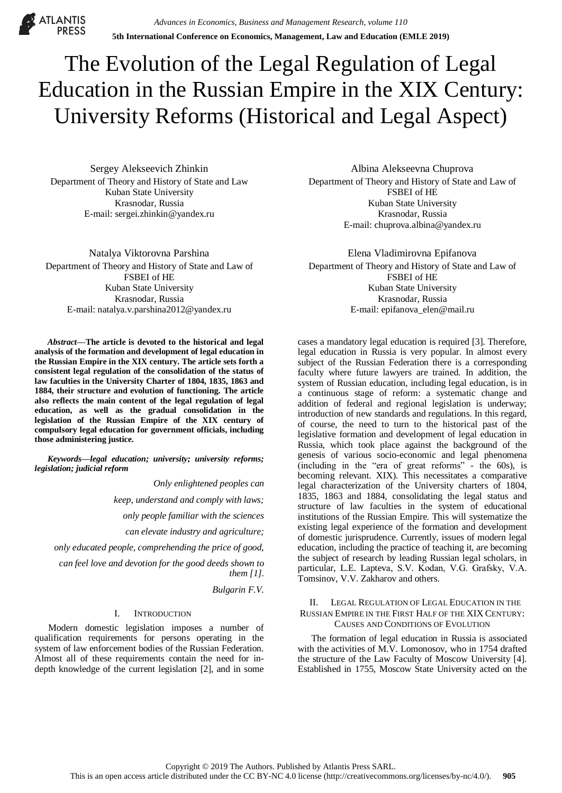**ATLANTIS** 

# The Evolution of the Legal Regulation of Legal Education in the Russian Empire in the XIX Century: University Reforms (Historical and Legal Aspect)

Sergey Alekseevich Zhinkin Department of Theory and History of State and Law Kuban State University Krasnodar, Russia E-mail: sergei.zhinkin@yandex.ru

Natalya Viktorovna Parshina Department of Theory and History of State and Law of FSBEI of HE Kuban State University Krasnodar, Russia E-mail: natalya.v.parshina2012@yandex.ru

*Abstract***—The article is devoted to the historical and legal analysis of the formation and development of legal education in the Russian Empire in the XIX century. The article sets forth a consistent legal regulation of the consolidation of the status of law faculties in the University Charter of 1804, 1835, 1863 and 1884, their structure and evolution of functioning. The article also reflects the main content of the legal regulation of legal education, as well as the gradual consolidation in the legislation of the Russian Empire of the XIX century of compulsory legal education for government officials, including those administering justice.**

*Keywords—legal education; university; university reforms; legislation; judicial reform*

*Only enlightened peoples can*

*keep, understand and comply with laws;*

*only people familiar with the sciences*

*can elevate industry and agriculture;*

*only educated people, comprehending the price of good,*

*can feel love and devotion for the good deeds shown to them [1].*

*Bulgarin F.V.*

### I. INTRODUCTION

Modern domestic legislation imposes a number of qualification requirements for persons operating in the system of law enforcement bodies of the Russian Federation. Almost all of these requirements contain the need for indepth knowledge of the current legislation [2], and in some

Albina Alekseevna Chuprova Department of Theory and History of State and Law of FSBEI of HE Kuban State University Krasnodar, Russia E-mail: chuprova.albina@yandex.ru

Elena Vladimirovna Epifanova Department of Theory and History of State and Law of FSBEI of HE Kuban State University Krasnodar, Russia E-mail: epifanova\_elen@mail.ru

cases a mandatory legal education is required [3]. Therefore, legal education in Russia is very popular. In almost every subject of the Russian Federation there is a corresponding faculty where future lawyers are trained. In addition, the system of Russian education, including legal education, is in a continuous stage of reform: a systematic change and addition of federal and regional legislation is underway; introduction of new standards and regulations. In this regard, of course, the need to turn to the historical past of the legislative formation and development of legal education in Russia, which took place against the background of the genesis of various socio-economic and legal phenomena (including in the "era of great reforms" - the 60s), is becoming relevant. XIX). This necessitates a comparative legal characterization of the University charters of 1804, 1835, 1863 and 1884, consolidating the legal status and structure of law faculties in the system of educational institutions of the Russian Empire. This will systematize the existing legal experience of the formation and development of domestic jurisprudence. Currently, issues of modern legal education, including the practice of teaching it, are becoming the subject of research by leading Russian legal scholars, in particular, L.E. Laptevа, S.V. Kodan, V.G. Grafsky, V.A. Tomsinov, V.V. Zakharov and others.

## II. LEGAL REGULATION OF LEGAL EDUCATION IN THE RUSSIAN EMPIRE IN THE FIRST HALF OF THE XIX CENTURY: CAUSES AND CONDITIONS OF EVOLUTION

The formation of legal education in Russia is associated with the activities of M.V. Lomonosov, who in 1754 drafted the structure of the Law Faculty of Moscow University [4]. Established in 1755, Moscow State University acted on the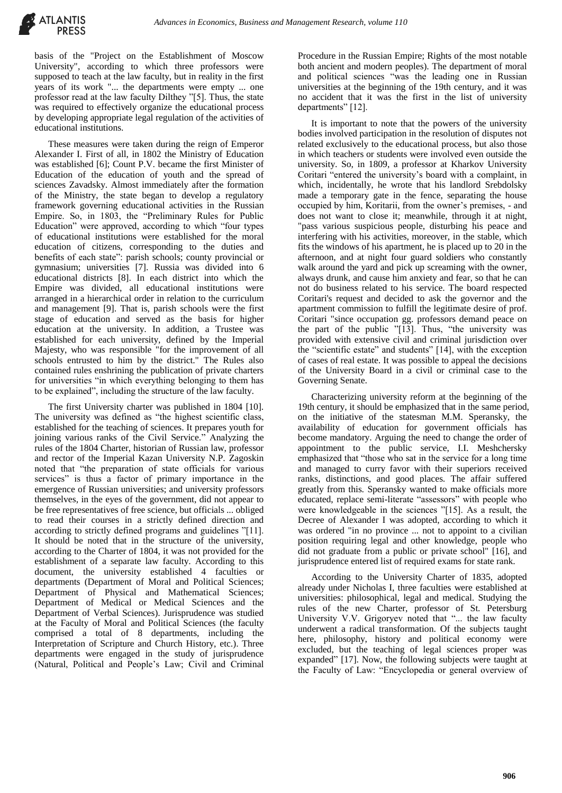basis of the "Project on the Establishment of Moscow University", according to which three professors were supposed to teach at the law faculty, but in reality in the first years of its work "... the departments were empty ... one professor read at the law faculty Dilthey "[5]. Thus, the state was required to effectively organize the educational process by developing appropriate legal regulation of the activities of educational institutions.

These measures were taken during the reign of Emperor Alexander I. First of all, in 1802 the Ministry of Education was established [6]; Count P.V. became the first Minister of Education of the education of youth and the spread of sciences Zavadsky. Almost immediately after the formation of the Ministry, the state began to develop a regulatory framework governing educational activities in the Russian Empire. So, in 1803, the "Preliminary Rules for Public Education" were approved, according to which "four types of educational institutions were established for the moral education of citizens, corresponding to the duties and benefits of each state": parish schools; county provincial or gymnasium; universities [7]. Russia was divided into 6 educational districts [8]. In each district into which the Empire was divided, all educational institutions were arranged in a hierarchical order in relation to the curriculum and management [9]. That is, parish schools were the first stage of education and served as the basis for higher education at the university. In addition, a Trustee was established for each university, defined by the Imperial Majesty, who was responsible "for the improvement of all schools entrusted to him by the district." The Rules also contained rules enshrining the publication of private charters for universities "in which everything belonging to them has to be explained", including the structure of the law faculty.

The first University charter was published in 1804 [10]. The university was defined as "the highest scientific class, established for the teaching of sciences. It prepares youth for joining various ranks of the Civil Service." Analyzing the rules of the 1804 Charter, historian of Russian law, professor and rector of the Imperial Kazan University N.P. Zagoskin noted that "the preparation of state officials for various services" is thus a factor of primary importance in the emergence of Russian universities; and university professors themselves, in the eyes of the government, did not appear to be free representatives of free science, but officials ... obliged to read their courses in a strictly defined direction and according to strictly defined programs and guidelines "[11]. It should be noted that in the structure of the university, according to the Charter of 1804, it was not provided for the establishment of a separate law faculty. According to this document, the university established 4 faculties or departments (Department of Moral and Political Sciences; Department of Physical and Mathematical Sciences; Department of Medical or Medical Sciences and the Department of Verbal Sciences). Jurisprudence was studied at the Faculty of Moral and Political Sciences (the faculty comprised a total of 8 departments, including the Interpretation of Scripture and Church History, etc.). Three departments were engaged in the study of jurisprudence (Natural, Political and People's Law; Civil and Criminal Procedure in the Russian Empire; Rights of the most notable both ancient and modern peoples). The department of moral and political sciences "was the leading one in Russian universities at the beginning of the 19th century, and it was no accident that it was the first in the list of university departments" [12].

It is important to note that the powers of the university bodies involved participation in the resolution of disputes not related exclusively to the educational process, but also those in which teachers or students were involved even outside the university. So, in 1809, a professor at Kharkov University Coritari "entered the university's board with a complaint, in which, incidentally, he wrote that his landlord Srebdolsky made a temporary gate in the fence, separating the house occupied by him, Koritarii, from the owner's premises, - and does not want to close it; meanwhile, through it at night, "pass various suspicious people, disturbing his peace and interfering with his activities, moreover, in the stable, which fits the windows of his apartment, he is placed up to 20 in the afternoon, and at night four guard soldiers who constantly walk around the yard and pick up screaming with the owner, always drunk, and cause him anxiety and fear, so that he can not do business related to his service. The board respected Coritari's request and decided to ask the governor and the apartment commission to fulfill the legitimate desire of prof. Coritari "since occupation gg. professors demand peace on the part of the public "[13]. Thus, "the university was provided with extensive civil and criminal jurisdiction over the "scientific estate" and students" [14], with the exception of cases of real estate. It was possible to appeal the decisions of the University Board in a civil or criminal case to the Governing Senate.

Characterizing university reform at the beginning of the 19th century, it should be emphasized that in the same period, on the initiative of the statesman M.M. Speransky, the availability of education for government officials has become mandatory. Arguing the need to change the order of appointment to the public service, I.I. Meshchersky emphasized that "those who sat in the service for a long time and managed to curry favor with their superiors received ranks, distinctions, and good places. The affair suffered greatly from this. Speransky wanted to make officials more educated, replace semi-literate "assessors" with people who were knowledgeable in the sciences "[15]. As a result, the Decree of Alexander I was adopted, according to which it was ordered "in no province ... not to appoint to a civilian position requiring legal and other knowledge, people who did not graduate from a public or private school" [16], and jurisprudence entered list of required exams for state rank.

According to the University Charter of 1835, adopted already under Nicholas I, three faculties were established at universities: philosophical, legal and medical. Studying the rules of the new Charter, professor of St. Petersburg University V.V. Grigoryev noted that "... the law faculty underwent a radical transformation. Of the subjects taught here, philosophy, history and political economy were excluded, but the teaching of legal sciences proper was expanded" [17]. Now, the following subjects were taught at the Faculty of Law: "Encyclopedia or general overview of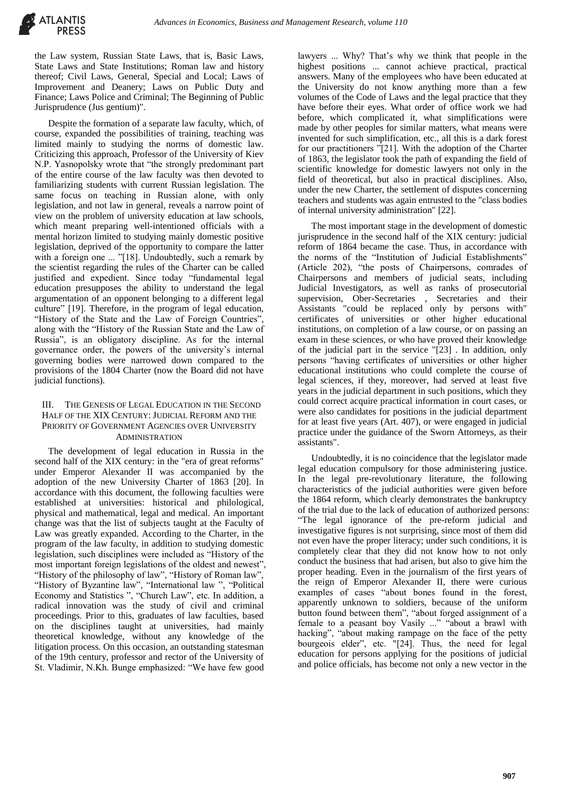the Law system, Russian State Laws, that is, Basic Laws, State Laws and State Institutions; Roman law and history thereof; Civil Laws, General, Special and Local; Laws of Improvement and Deanery; Laws on Public Duty and Finance; Laws Police and Criminal; The Beginning of Public Jurisprudence (Jus gentium)".

Despite the formation of a separate law faculty, which, of course, expanded the possibilities of training, teaching was limited mainly to studying the norms of domestic law. Criticizing this approach, Professor of the University of Kiev N.P. Yasnopolsky wrote that "the strongly predominant part of the entire course of the law faculty was then devoted to familiarizing students with current Russian legislation. The same focus on teaching in Russian alone, with only legislation, and not law in general, reveals a narrow point of view on the problem of university education at law schools, which meant preparing well-intentioned officials with a mental horizon limited to studying mainly domestic positive legislation, deprived of the opportunity to compare the latter with a foreign one ... "[18]. Undoubtedly, such a remark by the scientist regarding the rules of the Charter can be called justified and expedient. Since today "fundamental legal education presupposes the ability to understand the legal argumentation of an opponent belonging to a different legal culture" [19]. Therefore, in the program of legal education, "History of the State and the Law of Foreign Countries", along with the "History of the Russian State and the Law of Russia", is an obligatory discipline. As for the internal governance order, the powers of the university's internal governing bodies were narrowed down compared to the provisions of the 1804 Charter (now the Board did not have judicial functions).

## III. THE GENESIS OF LEGAL EDUCATION IN THE SECOND HALF OF THE XIX CENTURY: JUDICIAL REFORM AND THE PRIORITY OF GOVERNMENT AGENCIES OVER UNIVERSITY **ADMINISTRATION**

The development of legal education in Russia in the second half of the XIX century: in the "era of great reforms" under Emperor Alexander II was accompanied by the adoption of the new University Charter of 1863 [20]. In accordance with this document, the following faculties were established at universities: historical and philological, physical and mathematical, legal and medical. An important change was that the list of subjects taught at the Faculty of Law was greatly expanded. According to the Charter, in the program of the law faculty, in addition to studying domestic legislation, such disciplines were included as "History of the most important foreign legislations of the oldest and newest", "History of the philosophy of law", "History of Roman law", "History of Byzantine law", "International law ", "Political Economy and Statistics ", "Church Law", etc. In addition, a radical innovation was the study of civil and criminal proceedings. Prior to this, graduates of law faculties, based on the disciplines taught at universities, had mainly theoretical knowledge, without any knowledge of the litigation process. On this occasion, an outstanding statesman of the 19th century, professor and rector of the University of St. Vladimir, N.Kh. Bunge emphasized: "We have few good

lawyers ... Why? That's why we think that people in the highest positions ... cannot achieve practical, practical answers. Many of the employees who have been educated at the University do not know anything more than a few volumes of the Code of Laws and the legal practice that they have before their eyes. What order of office work we had before, which complicated it, what simplifications were made by other peoples for similar matters, what means were invented for such simplification, etc., all this is a dark forest for our practitioners "[21]. With the adoption of the Charter of 1863, the legislator took the path of expanding the field of scientific knowledge for domestic lawyers not only in the field of theoretical, but also in practical disciplines. Also, under the new Charter, the settlement of disputes concerning teachers and students was again entrusted to the "class bodies of internal university administration" [22].

The most important stage in the development of domestic jurisprudence in the second half of the XIX century: judicial reform of 1864 became the case. Thus, in accordance with the norms of the "Institution of Judicial Establishments" (Article 202), "the posts of Chairpersons, comrades of Chairpersons and members of judicial seats, including Judicial Investigators, as well as ranks of prosecutorial supervision, Ober-Secretaries , Secretaries and their Assistants "could be replaced only by persons with" certificates of universities or other higher educational institutions, on completion of a law course, or on passing an exam in these sciences, or who have proved their knowledge of the judicial part in the service "[23] . In addition, only persons "having certificates of universities or other higher educational institutions who could complete the course of legal sciences, if they, moreover, had served at least five years in the judicial department in such positions, which they could correct acquire practical information in court cases, or were also candidates for positions in the judicial department for at least five years (Art. 407), or were engaged in judicial practice under the guidance of the Sworn Attorneys, as their assistants".

Undoubtedly, it is no coincidence that the legislator made legal education compulsory for those administering justice. In the legal pre-revolutionary literature, the following characteristics of the judicial authorities were given before the 1864 reform, which clearly demonstrates the bankruptcy of the trial due to the lack of education of authorized persons: "The legal ignorance of the pre-reform judicial and investigative figures is not surprising, since most of them did not even have the proper literacy; under such conditions, it is completely clear that they did not know how to not only conduct the business that had arisen, but also to give him the proper heading. Even in the journalism of the first years of the reign of Emperor Alexander II, there were curious examples of cases "about bones found in the forest, apparently unknown to soldiers, because of the uniform button found between them", "about forged assignment of a female to a peasant boy Vasily ..." "about a brawl with hacking", "about making rampage on the face of the petty bourgeois elder", etc. "[24]. Thus, the need for legal education for persons applying for the positions of judicial and police officials, has become not only a new vector in the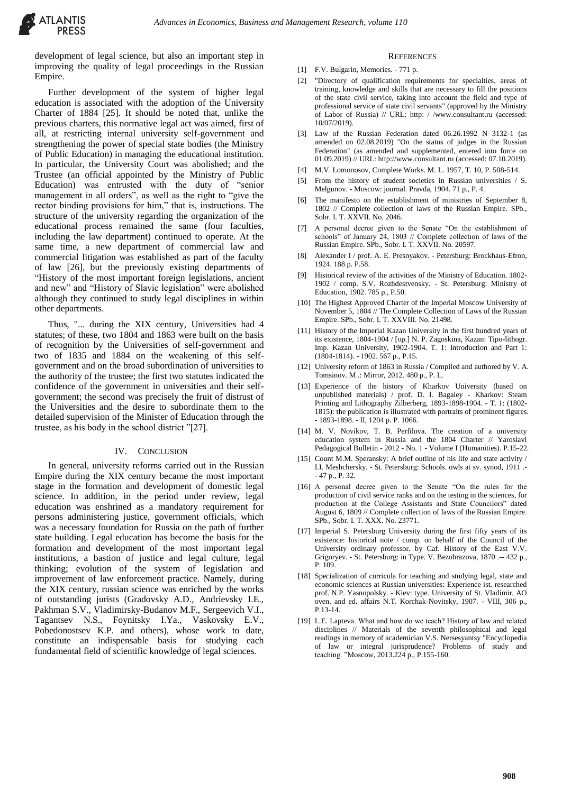development of legal science, but also an important step in improving the quality of legal proceedings in the Russian Empire.

Further development of the system of higher legal education is associated with the adoption of the University Charter of 1884 [25]. It should be noted that, unlike the previous charters, this normative legal act was aimed, first of all, at restricting internal university self-government and strengthening the power of special state bodies (the Ministry of Public Education) in managing the educational institution. In particular, the University Court was abolished; and the Trustee (an official appointed by the Ministry of Public Education) was entrusted with the duty of "senior management in all orders", as well as the right to "give the rector binding provisions for him," that is, instructions. The structure of the university regarding the organization of the educational process remained the same (four faculties, including the law department) continued to operate. At the same time, a new department of commercial law and commercial litigation was established as part of the faculty of law [26], but the previously existing departments of "History of the most important foreign legislations, ancient and new" and "History of Slavic legislation" were abolished although they continued to study legal disciplines in within other departments.

Thus, "... during the XIX century, Universities had 4 statutes; of these, two 1804 and 1863 were built on the basis of recognition by the Universities of self-government and two of 1835 and 1884 on the weakening of this selfgovernment and on the broad subordination of universities to the authority of the trustee; the first two statutes indicated the confidence of the government in universities and their selfgovernment; the second was precisely the fruit of distrust of the Universities and the desire to subordinate them to the detailed supervision of the Minister of Education through the trustee, as his body in the school district "[27].

### IV. CONCLUSION

In general, university reforms carried out in the Russian Empire during the XIX century became the most important stage in the formation and development of domestic legal science. In addition, in the period under review, legal education was enshrined as a mandatory requirement for persons administering justice, government officials, which was a necessary foundation for Russia on the path of further state building. Legal education has become the basis for the formation and development of the most important legal institutions, a bastion of justice and legal culture, legal thinking; evolution of the system of legislation and improvement of law enforcement practice. Namely, during the XIX century, russian science was enriched by the works of outstanding jurists (Gradovsky A.D., Andrievsky I.E., Pakhman S.V., Vladimirsky-Budanov M.F., Sergeevich V.I., Tagantsev N.S., Foynitsky I.Ya., Vaskovsky E.V., Pobedonostsev K.P. and others), whose work to date, constitute an indispensable basis for studying each fundamental field of scientific knowledge of legal sciences.

#### **REFERENCES**

- [1] F.V. Bulgarin, Memories. 771 p.
- [2] "Directory of qualification requirements for specialties, areas of training, knowledge and skills that are necessary to fill the positions of the state civil service, taking into account the field and type of professional service of state civil servants" (approved by the Ministry of Labor of Russia) // URL: http: / /www.consultant.ru (accessed: 10/07/2019).
- [3] Law of the Russian Federation dated 06.26.1992 N 3132-1 (as amended on 02.08.2019) "On the status of judges in the Russian Federation" (as amended and supplemented, entered into force on 01.09.2019) // URL: http://www.consultant.ru (accessed: 07.10.2019).
- [4] M.V. Lomonosov, Complete Works. M. L. 1957, T. 10, P. 508-514.
- [5] From the history of student societies in Russian universities / S. Melgunov. - Moscow: journal. Pravda, 1904. 71 p., P. 4.
- [6] The manifesto on the establishment of ministries of September 8, 1802 // Complete collection of laws of the Russian Empire. SPb., Sobr. I. T. XXVII. No. 2046.
- [7] A personal decree given to the Senate "On the establishment of schools" of January 24, 1803 // Complete collection of laws of the Russian Empire. SPb., Sobr. I. T. XXVII. No. 20597.
- Alexander I / prof. A. E. Presnyakov. Petersburg: Brockhaus-Efron, 1924. 188 p. P.58.
- [9] Historical review of the activities of the Ministry of Education. 1802- 1902 / comp. S.V. Rozhdestvensky. - St. Petersburg: Ministry of Education, 1902. 785 p., P.50.
- [10] The Highest Approved Charter of the Imperial Moscow University of November 5, 1804 // The Complete Collection of Laws of the Russian Empire. SPb., Sobr. I. T. XXVIII. No. 21498.
- [11] History of the Imperial Kazan University in the first hundred years of its existence, 1804-1904 / [op.] N. P. Zagoskina, Kazan: Tipo-lithogr. Imp. Kazan University, 1902-1904. T. 1: Introduction and Part 1: (1804-1814). - 1902. 567 p., P.15.
- [12] University reform of 1863 in Russia / Compiled and authored by V. A. Tomsinov. M .: Mirror, 2012. 480 p., P. L.
- [13] Experience of the history of Kharkov University (based on unpublished materials) / prof. D. I. Bagaley - Kharkov: Steam Printing and Lithography Zilberberg, 1893-1898-1904. - T. 1: (1802- 1815): the publication is illustrated with portraits of prominent figures. - 1893-1898. - II, 1204 p. P. 1066.
- [14] M. V. Novikov, T. B. Perfilova. The creation of a university education system in Russia and the 1804 Charter // Yaroslavl Pedagogical Bulletin - 2012 - No. 1 - Volume I (Humanities). P.15-22.
- [15] Count M.M. Speransky: A brief outline of his life and state activity / I.I. Meshchersky. - St. Petersburg: Schools. owls at sv. synod, 1911 .- - 47 p., P. 32.
- [16] A personal decree given to the Senate "On the rules for the production of civil service ranks and on the testing in the sciences, for production at the College Assistants and State Councilors" dated August 6, 1809 // Complete collection of laws of the Russian Empire. SPb., Sobr. I. T. XXX. No. 23771.
- [17] Imperial S. Petersburg University during the first fifty years of its existence: historical note / comp. on behalf of the Council of the University ordinary professor. by Caf. History of the East V.V. Grigoryev. - St. Petersburg: in Type. V. Bezobrazova, 1870 .-- 432 p., P. 109.
- [18] Specialization of curricula for teaching and studying legal, state and economic sciences at Russian universities: Experience ist. researched prof. N.P. Yasnopolsky. - Kiev: type. University of St. Vladimir, AO oven. and ed. affairs N.T. Korchak-Novitsky, 1907. - VIII, 306 p., P.13-14.
- [19] L.E. Lapteva. What and how do we teach? History of law and related disciplines // Materials of the seventh philosophical and legal readings in memory of academician V.S. Nersesyantsy "Encyclopedia of law or integral jurisprudence? Problems of study and teaching. "Moscow, 2013.224 p., P.155-160.